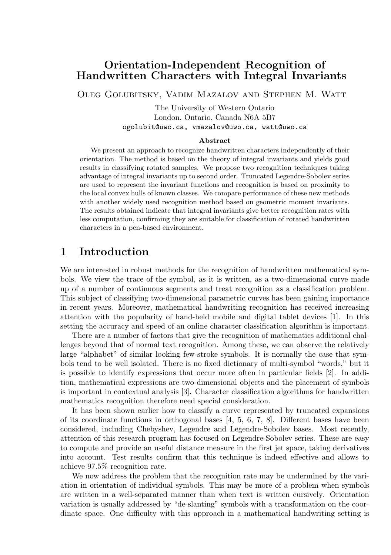# Orientation-Independent Recognition of Handwritten Characters with Integral Invariants

Oleg Golubitsky, Vadim Mazalov and Stephen M. Watt

The University of Western Ontario London, Ontario, Canada N6A 5B7 ogolubit@uwo.ca, vmazalov@uwo.ca, watt@uwo.ca

#### Abstract

We present an approach to recognize handwritten characters independently of their orientation. The method is based on the theory of integral invariants and yields good results in classifying rotated samples. We propose two recognition techniques taking advantage of integral invariants up to second order. Truncated Legendre-Sobolev series are used to represent the invariant functions and recognition is based on proximity to the local convex hulls of known classes. We compare performance of these new methods with another widely used recognition method based on geometric moment invariants. The results obtained indicate that integral invariants give better recognition rates with less computation, confirming they are suitable for classification of rotated handwritten characters in a pen-based environment.

# 1 Introduction

We are interested in robust methods for the recognition of handwritten mathematical symbols. We view the trace of the symbol, as it is written, as a two-dimensional curve made up of a number of continuous segments and treat recognition as a classification problem. This subject of classifying two-dimensional parametric curves has been gaining importance in recent years. Moreover, mathematical handwriting recognition has received increasing attention with the popularity of hand-held mobile and digital tablet devices [1]. In this setting the accuracy and speed of an online character classification algorithm is important.

There are a number of factors that give the recognition of mathematics additional challenges beyond that of normal text recognition. Among these, we can observe the relatively large "alphabet" of similar looking few-stroke symbols. It is normally the case that symbols tend to be well isolated. There is no fixed dictionary of multi-symbol "words," but it is possible to identify expressions that occur more often in particular fields [2]. In addition, mathematical expressions are two-dimensional objects and the placement of symbols is important in contextual analysis [3]. Character classification algorithms for handwritten mathematics recognition therefore need special consideration.

It has been shown earlier how to classify a curve represented by truncated expansions of its coordinate functions in orthogonal bases  $[4, 5, 6, 7, 8]$ . Different bases have been considered, including Chebyshev, Legendre and Legendre-Sobolev bases. Most recently, attention of this research program has focused on Legendre-Sobolev series. These are easy to compute and provide an useful distance measure in the first jet space, taking derivatives into account. Test results confirm that this technique is indeed effective and allows to achieve 97.5% recognition rate.

We now address the problem that the recognition rate may be undermined by the variation in orientation of individual symbols. This may be more of a problem when symbols are written in a well-separated manner than when text is written cursively. Orientation variation is usually addressed by "de-slanting" symbols with a transformation on the coordinate space. One difficulty with this approach in a mathematical handwriting setting is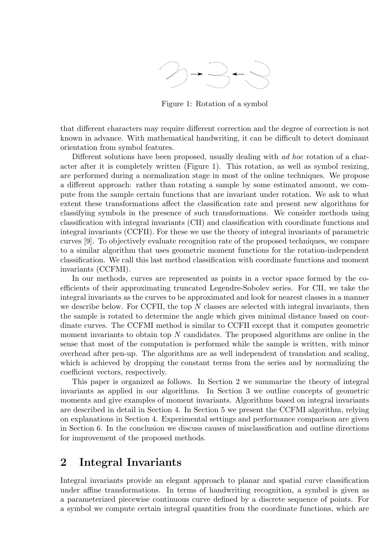

Figure 1: Rotation of a symbol

that different characters may require different correction and the degree of correction is not known in advance. With mathematical handwriting, it can be difficult to detect dominant orientation from symbol features.

Different solutions have been proposed, usually dealing with ad hoc rotation of a character after it is completely written (Figure 1). This rotation, as well as symbol resizing, are performed during a normalization stage in most of the online techniques. We propose a different approach: rather than rotating a sample by some estimated amount, we compute from the sample certain functions that are invariant under rotation. We ask to what extent these transformations affect the classification rate and present new algorithms for classifying symbols in the presence of such transformations. We consider methods using classification with integral invariants (CII) and classification with coordinate functions and integral invariants (CCFII). For these we use the theory of integral invariants of parametric curves [9]. To objectively evaluate recognition rate of the proposed techniques, we compare to a similar algorithm that uses geometric moment functions for the rotation-independent classification. We call this last method classification with coordinate functions and moment invariants (CCFMI).

In our methods, curves are represented as points in a vector space formed by the coefficients of their approximating truncated Legendre-Sobolev series. For CII, we take the integral invariants as the curves to be approximated and look for nearest classes in a manner we describe below. For CCFII, the top N classes are selected with integral invariants, then the sample is rotated to determine the angle which gives minimal distance based on coordinate curves. The CCFMI method is similar to CCFII except that it computes geometric moment invariants to obtain top  $N$  candidates. The proposed algorithms are online in the sense that most of the computation is performed while the sample is written, with minor overhead after pen-up. The algorithms are as well independent of translation and scaling, which is achieved by dropping the constant terms from the series and by normalizing the coefficient vectors, respectively.

This paper is organized as follows. In Section 2 we summarize the theory of integral invariants as applied in our algorithms. In Section 3 we outline concepts of geometric moments and give examples of moment invariants. Algorithms based on integral invariants are described in detail in Section 4. In Section 5 we present the CCFMI algorithm, relying on explanations in Section 4. Experimental settings and performance comparison are given in Section 6. In the conclusion we discuss causes of misclassification and outline directions for improvement of the proposed methods.

# 2 Integral Invariants

Integral invariants provide an elegant approach to planar and spatial curve classification under affine transformations. In terms of handwriting recognition, a symbol is given as a parameterized piecewise continuous curve defined by a discrete sequence of points. For a symbol we compute certain integral quantities from the coordinate functions, which are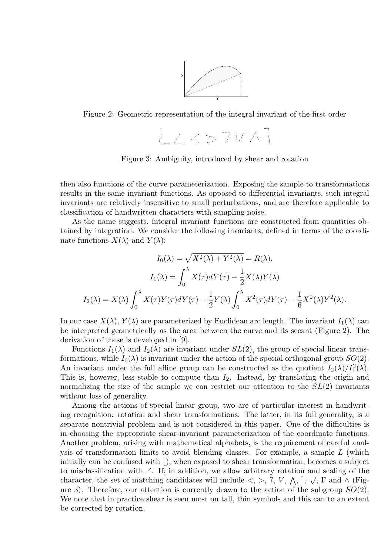

Figure 2: Geometric representation of the integral invariant of the first order

 $L \times 57$ V $\wedge$ l

Figure 3: Ambiguity, introduced by shear and rotation

then also functions of the curve parameterization. Exposing the sample to transformations results in the same invariant functions. As opposed to differential invariants, such integral invariants are relatively insensitive to small perturbations, and are therefore applicable to classification of handwritten characters with sampling noise.

As the name suggests, integral invariant functions are constructed from quantities obtained by integration. We consider the following invariants, defined in terms of the coordinate functions  $X(\lambda)$  and  $Y(\lambda)$ :

$$
I_0(\lambda) = \sqrt{X^2(\lambda) + Y^2(\lambda)} = R(\lambda),
$$

$$
I_1(\lambda) = \int_0^{\lambda} X(\tau) dY(\tau) - \frac{1}{2} X(\lambda) Y(\lambda)
$$

$$
I_2(\lambda) = X(\lambda) \int_0^{\lambda} X(\tau) Y(\tau) dY(\tau) - \frac{1}{2} Y(\lambda) \int_0^{\lambda} X^2(\tau) dY(\tau) - \frac{1}{6} X^2(\lambda) Y^2(\lambda).
$$

In our case  $X(\lambda)$ ,  $Y(\lambda)$  are parameterized by Euclidean arc length. The invariant  $I_1(\lambda)$  can be interpreted geometrically as the area between the curve and its secant (Figure 2). The derivation of these is developed in [9].

Functions  $I_1(\lambda)$  and  $I_2(\lambda)$  are invariant under  $SL(2)$ , the group of special linear transformations, while  $I_0(\lambda)$  is invariant under the action of the special orthogonal group  $SO(2)$ . An invariant under the full affine group can be constructed as the quotient  $I_2(\lambda)/I_1^2(\lambda)$ . This is, however, less stable to compute than  $I_2$ . Instead, by translating the origin and normalizing the size of the sample we can restrict our attention to the  $SL(2)$  invariants without loss of generality.

Among the actions of special linear group, two are of particular interest in handwriting recognition: rotation and shear transformations. The latter, in its full generality, is a separate nontrivial problem and is not considered in this paper. One of the difficulties is in choosing the appropriate shear-invariant parameterization of the coordinate functions. Another problem, arising with mathematical alphabets, is the requirement of careful analysis of transformation limits to avoid blending classes. For example, a sample  $L$  (which initially can be confused with  $\vert$ ), when exposed to shear transformation, becomes a subject to misclassification with ∠. If, in addition, we allow arbitrary rotation and scaling of the √ character, the set of matching candidates will include  $\langle , \rangle$ , 7, V,  $\wedge$ ,  $\rangle$ ,  $\wedge$ ,  $\Gamma$  and  $\wedge$  (Figure 3). Therefore, our attention is currently drawn to the action of the subgroup  $SO(2)$ . We note that in practice shear is seen most on tall, thin symbols and this can to an extent be corrected by rotation.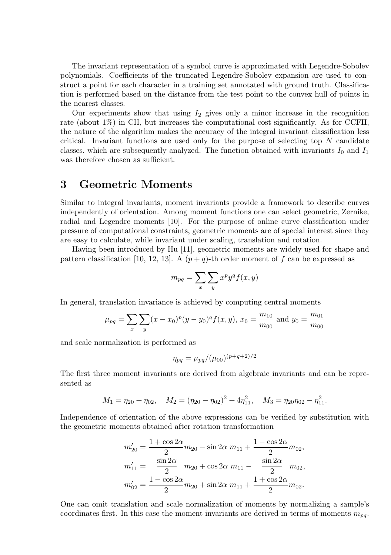The invariant representation of a symbol curve is approximated with Legendre-Sobolev polynomials. Coefficients of the truncated Legendre-Sobolev expansion are used to construct a point for each character in a training set annotated with ground truth. Classification is performed based on the distance from the test point to the convex hull of points in the nearest classes.

Our experiments show that using  $I_2$  gives only a minor increase in the recognition rate (about 1%) in CII, but increases the computational cost significantly. As for CCFII, the nature of the algorithm makes the accuracy of the integral invariant classification less critical. Invariant functions are used only for the purpose of selecting top  $N$  candidate classes, which are subsequently analyzed. The function obtained with invariants  $I_0$  and  $I_1$ was therefore chosen as sufficient.

### 3 Geometric Moments

Similar to integral invariants, moment invariants provide a framework to describe curves independently of orientation. Among moment functions one can select geometric, Zernike, radial and Legendre moments [10]. For the purpose of online curve classification under pressure of computational constraints, geometric moments are of special interest since they are easy to calculate, while invariant under scaling, translation and rotation.

Having been introduced by Hu [11], geometric moments are widely used for shape and pattern classification [10, 12, 13]. A  $(p+q)$ -th order moment of f can be expressed as

$$
m_{pq} = \sum_{x} \sum_{y} x^p y^q f(x, y)
$$

In general, translation invariance is achieved by computing central moments

$$
\mu_{pq} = \sum_{x} \sum_{y} (x - x_0)^p (y - y_0)^q f(x, y), x_0 = \frac{m_{10}}{m_{00}}
$$
 and  $y_0 = \frac{m_{01}}{m_{00}}$ 

and scale normalization is performed as

$$
\eta_{pq} = \mu_{pq} / (\mu_{00})^{(p+q+2)/2}
$$

The first three moment invariants are derived from algebraic invariants and can be represented as

$$
M_1 = \eta_{20} + \eta_{02}, \quad M_2 = (\eta_{20} - \eta_{02})^2 + 4\eta_{11}^2, \quad M_3 = \eta_{20}\eta_{02} - \eta_{11}^2.
$$

Independence of orientation of the above expressions can be verified by substitution with the geometric moments obtained after rotation transformation

$$
m'_{20} = \frac{1 + \cos 2\alpha}{2} m_{20} - \sin 2\alpha m_{11} + \frac{1 - \cos 2\alpha}{2} m_{02},
$$
  
\n
$$
m'_{11} = \frac{\sin 2\alpha}{2} m_{20} + \cos 2\alpha m_{11} - \frac{\sin 2\alpha}{2} m_{02},
$$
  
\n
$$
m'_{02} = \frac{1 - \cos 2\alpha}{2} m_{20} + \sin 2\alpha m_{11} + \frac{1 + \cos 2\alpha}{2} m_{02}.
$$

One can omit translation and scale normalization of moments by normalizing a sample's coordinates first. In this case the moment invariants are derived in terms of moments  $m_{pq}$ .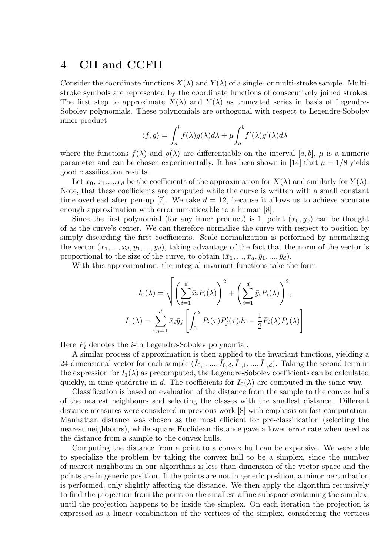### 4 CII and CCFII

Consider the coordinate functions  $X(\lambda)$  and  $Y(\lambda)$  of a single- or multi-stroke sample. Multistroke symbols are represented by the coordinate functions of consecutively joined strokes. The first step to approximate  $X(\lambda)$  and  $Y(\lambda)$  as truncated series in basis of Legendre-Sobolev polynomials. These polynomials are orthogonal with respect to Legendre-Sobolev inner product

$$
\langle f, g \rangle = \int_a^b f(\lambda) g(\lambda) d\lambda + \mu \int_a^b f'(\lambda) g'(\lambda) d\lambda
$$

where the functions  $f(\lambda)$  and  $g(\lambda)$  are differentiable on the interval [a, b],  $\mu$  is a numeric parameter and can be chosen experimentally. It has been shown in [14] that  $\mu = 1/8$  yields good classification results.

Let  $x_0, x_1,...,x_d$  be the coefficients of the approximation for  $X(\lambda)$  and similarly for  $Y(\lambda)$ . Note, that these coefficients are computed while the curve is written with a small constant time overhead after pen-up [7]. We take  $d = 12$ , because it allows us to achieve accurate enough approximation with error unnoticeable to a human [8].

Since the first polynomial (for any inner product) is 1, point  $(x_0, y_0)$  can be thought of as the curve's center. We can therefore normalize the curve with respect to position by simply discarding the first coefficients. Scale normalization is performed by normalizing the vector  $(x_1, ..., x_d, y_1, ..., y_d)$ , taking advantage of the fact that the norm of the vector is proportional to the size of the curve, to obtain  $(\bar{x}_1, ..., \bar{x}_d, \bar{y}_1, ..., \bar{y}_d)$ .

With this approximation, the integral invariant functions take the form

$$
I_0(\lambda) = \sqrt{\left(\sum_{i=1}^d \bar{x}_i P_i(\lambda)\right)^2 + \left(\sum_{i=1}^d \bar{y}_i P_i(\lambda)\right)^2},
$$
  

$$
I_1(\lambda) = \sum_{i,j=1}^d \bar{x}_i \bar{y}_j \left[\int_0^{\lambda} P_i(\tau) P'_j(\tau) d\tau - \frac{1}{2} P_i(\lambda) P_j(\lambda)\right]
$$

Here  $P_i$  denotes the *i*-th Legendre-Sobolev polynomial.

A similar process of approximation is then applied to the invariant functions, yielding a 24-dimensional vector for each sample  $(\bar{I}_{0,1},...,\bar{I}_{0,d},\bar{I}_{1,1},...,\bar{I}_{1,d})$ . Taking the second term in the expression for  $I_1(\lambda)$  as precomputed, the Legendre-Sobolev coefficients can be calculated quickly, in time quadratic in d. The coefficients for  $I_0(\lambda)$  are computed in the same way.

Classification is based on evaluation of the distance from the sample to the convex hulls of the nearest neighbours and selecting the classes with the smallest distance. Different distance measures were considered in previous work [8] with emphasis on fast computation. Manhattan distance was chosen as the most efficient for pre-classification (selecting the nearest neighbours), while square Euclidean distance gave a lower error rate when used as the distance from a sample to the convex hulls.

Computing the distance from a point to a convex hull can be expensive. We were able to specialize the problem by taking the convex hull to be a simplex, since the number of nearest neighbours in our algorithms is less than dimension of the vector space and the points are in generic position. If the points are not in generic position, a minor perturbation is performed, only slightly affecting the distance. We then apply the algorithm recursively to find the projection from the point on the smallest affine subspace containing the simplex, until the projection happens to be inside the simplex. On each iteration the projection is expressed as a linear combination of the vertices of the simplex, considering the vertices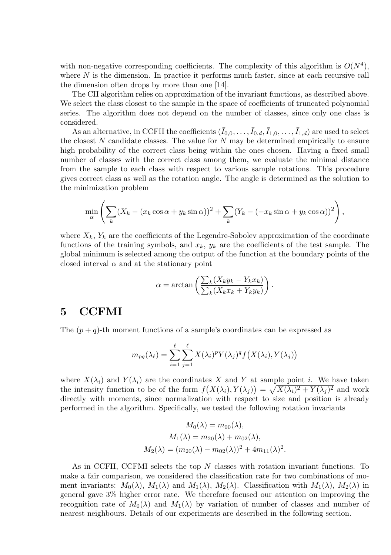with non-negative corresponding coefficients. The complexity of this algorithm is  $O(N^4)$ , where  $N$  is the dimension. In practice it performs much faster, since at each recursive call the dimension often drops by more than one [14].

The CII algorithm relies on approximation of the invariant functions, as described above. We select the class closest to the sample in the space of coefficients of truncated polynomial series. The algorithm does not depend on the number of classes, since only one class is considered.

As an alternative, in CCFII the coefficients  $(\bar{I}_{0,0},\ldots,\bar{I}_{0,d},\bar{I}_{1,0},\ldots,\bar{I}_{1,d})$  are used to select the closest  $N$  candidate classes. The value for  $N$  may be determined empirically to ensure high probability of the correct class being within the ones chosen. Having a fixed small number of classes with the correct class among them, we evaluate the minimal distance from the sample to each class with respect to various sample rotations. This procedure gives correct class as well as the rotation angle. The angle is determined as the solution to the minimization problem

$$
\min_{\alpha} \left( \sum_{k} (X_k - (x_k \cos \alpha + y_k \sin \alpha))^2 + \sum_{k} (Y_k - (-x_k \sin \alpha + y_k \cos \alpha))^2 \right),
$$

where  $X_k$ ,  $Y_k$  are the coefficients of the Legendre-Sobolev approximation of the coordinate functions of the training symbols, and  $x_k$ ,  $y_k$  are the coefficients of the test sample. The global minimum is selected among the output of the function at the boundary points of the closed interval  $\alpha$  and at the stationary point

$$
\alpha = \arctan\left(\frac{\sum_{k}(X_k y_k - Y_k x_k)}{\sum_{k}(X_k x_k + Y_k y_k)}\right).
$$

#### 5 CCFMI

The  $(p+q)$ -th moment functions of a sample's coordinates can be expressed as

$$
m_{pq}(\lambda_{\ell}) = \sum_{i=1}^{\ell} \sum_{j=1}^{\ell} X(\lambda_i)^p Y(\lambda_j)^q f(X(\lambda_i), Y(\lambda_j))
$$

where  $X(\lambda_i)$  and  $Y(\lambda_i)$  are the coordinates X and Y at sample point i. We have taken the intensity function to be of the form  $f(X(\lambda_i), Y(\lambda_j)) = \sqrt{X(\lambda_i)^2 + Y(\lambda_j)^2}$  and work directly with moments, since normalization with respect to size and position is already performed in the algorithm. Specifically, we tested the following rotation invariants

$$
M_0(\lambda) = m_{00}(\lambda),
$$
  
\n
$$
M_1(\lambda) = m_{20}(\lambda) + m_{02}(\lambda),
$$
  
\n
$$
M_2(\lambda) = (m_{20}(\lambda) - m_{02}(\lambda))^2 + 4m_{11}(\lambda)^2.
$$

As in CCFII, CCFMI selects the top N classes with rotation invariant functions. To make a fair comparison, we considered the classification rate for two combinations of moment invariants:  $M_0(\lambda)$ ,  $M_1(\lambda)$  and  $M_1(\lambda)$ ,  $M_2(\lambda)$ . Classification with  $M_1(\lambda)$ ,  $M_2(\lambda)$  in general gave 3% higher error rate. We therefore focused our attention on improving the recognition rate of  $M_0(\lambda)$  and  $M_1(\lambda)$  by variation of number of classes and number of nearest neighbours. Details of our experiments are described in the following section.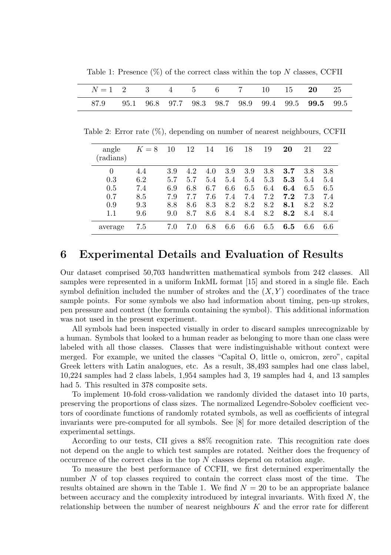Table 1: Presence  $(\%)$  of the correct class within the top N classes, CCFII

| $N=1$ 2 3 4 5 6 7 10 15 20 25                          |  |  |  |  |  |
|--------------------------------------------------------|--|--|--|--|--|
| 87.9 95.1 96.8 97.7 98.3 98.7 98.9 99.4 99.5 99.5 99.5 |  |  |  |  |  |

Table 2: Error rate (%), depending on number of nearest neighbours, CCFII

| angle<br>(radians) | $K=8$ | 10  | 12  | 14  | 16  | 18  | 19  | 20  | 21  | 22      |
|--------------------|-------|-----|-----|-----|-----|-----|-----|-----|-----|---------|
| $\theta$           | 4.4   | 3.9 | 4.2 | 4.0 | 3.9 | 3.9 | 3.8 | 3.7 | 3.8 | $3.8\,$ |
| 0.3                | 6.2   | 5.7 | 5.7 | 5.4 | 5.4 | 5.4 | 5.3 | 5.3 | 5.4 | 5.4     |
| 0.5                | 7.4   | 6.9 | 6.8 | 6.7 | 6.6 | 6.5 | 6.4 | 6.4 | 6.5 | 6.5     |
| 0.7                | 8.5   | 7.9 | 7.7 | 7.6 | 7.4 | 7.4 | 7.2 | 7.2 | 7.3 | 7.4     |
| 0.9                | 9.3   | 8.8 | 8.6 | 8.3 | 8.2 | 8.2 | 8.2 | 8.1 | 8.2 | 8.2     |
| 1.1                | 9.6   | 9.0 | 8.7 | 8.6 | 8.4 | 8.4 | 8.2 | 8.2 | 8.4 | 8.4     |
| average            | 7.5   | 7.0 | 7.0 | 6.8 | 6.6 | 6.6 | 6.5 | 6.5 | 6.6 | 6.6     |

# 6 Experimental Details and Evaluation of Results

Our dataset comprised 50,703 handwritten mathematical symbols from 242 classes. All samples were represented in a uniform InkML format [15] and stored in a single file. Each symbol definition included the number of strokes and the  $(X, Y)$  coordinates of the trace sample points. For some symbols we also had information about timing, pen-up strokes, pen pressure and context (the formula containing the symbol). This additional information was not used in the present experiment.

All symbols had been inspected visually in order to discard samples unrecognizable by a human. Symbols that looked to a human reader as belonging to more than one class were labeled with all those classes. Classes that were indistinguishable without context were merged. For example, we united the classes "Capital O, little o, omicron, zero", capital Greek letters with Latin analogues, etc. As a result, 38,493 samples had one class label, 10,224 samples had 2 class labels, 1,954 samples had 3, 19 samples had 4, and 13 samples had 5. This resulted in 378 composite sets.

To implement 10-fold cross-validation we randomly divided the dataset into 10 parts, preserving the proportions of class sizes. The normalized Legendre-Sobolev coefficient vectors of coordinate functions of randomly rotated symbols, as well as coefficients of integral invariants were pre-computed for all symbols. See [8] for more detailed description of the experimental settings.

According to our tests, CII gives a 88% recognition rate. This recognition rate does not depend on the angle to which test samples are rotated. Neither does the frequency of occurrence of the correct class in the top  $N$  classes depend on rotation angle.

To measure the best performance of CCFII, we first determined experimentally the number N of top classes required to contain the correct class most of the time. The results obtained are shown in the Table 1. We find  $N = 20$  to be an appropriate balance between accuracy and the complexity introduced by integral invariants. With fixed  $N$ , the relationship between the number of nearest neighbours  $K$  and the error rate for different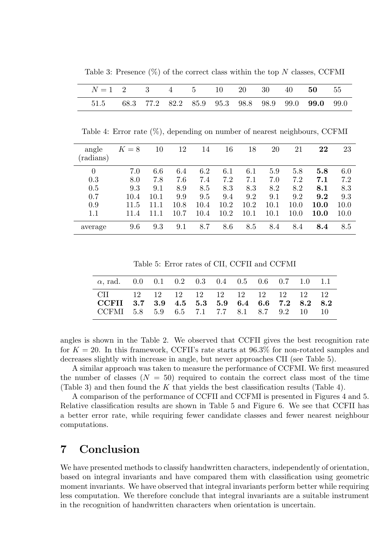Table 3: Presence  $(\%)$  of the correct class within the top N classes, CCFMI

| $N=1$ 2 3 4 5 10 20 30 40 50 55                        |  |  |  |  |  |
|--------------------------------------------------------|--|--|--|--|--|
| 51.5 68.3 77.2 82.2 85.9 95.3 98.8 98.9 99.0 99.0 99.0 |  |  |  |  |  |

Table 4: Error rate (%), depending on number of nearest neighbours, CCFMI

| angle<br>(radians) | $K=8$ | 10   | 12   | 14   | 16   | 18       | 20   | 21   | $\bf{22}$   | 23   |
|--------------------|-------|------|------|------|------|----------|------|------|-------------|------|
| $\theta$           | 7.0   | 6.6  | 6.4  | 6.2  | 6.1  | 6.1      | 5.9  | 5.8  | 5.8         | 6.0  |
| 0.3                | 8.0   | 7.8  | 7.6  | 7.4  | 7.2  | 7.1      | 7.0  | 7.2  | 7.1         | 7.2  |
| 0.5                | 9.3   | 9.1  | 8.9  | 8.5  | 8.3  | 8.3      | 8.2  | 8.2  | 8.1         | 8.3  |
| 0.7                | 10.4  | 10.1 | 9.9  | 9.5  | 9.4  | 9.2      | 9.1  | 9.2  | 9.2         | 9.3  |
| 0.9                | 11.5  | 11.1 | 10.8 | 10.4 | 10.2 | 10.2     | 10.1 | 10.0 | <b>10.0</b> | 10.0 |
| 1.1                | 11.4  |      | 10.7 | 10.4 | 10.2 | $10.1\,$ | 10.1 | 10.0 | 10.0        | 10.0 |
| average            | 9.6   | 9.3  | 9.1  | 8.7  | 8.6  | 8.5      | 8.4  | 8.4  | 8.4         | 8.5  |

Table 5: Error rates of CII, CCFII and CCFMI

| $\alpha$ , rad. 0.0 0.1 0.2 0.3 0.4 0.5 0.6 0.7 1.0 1.1                                                                           |  |  |  |  |  |
|-----------------------------------------------------------------------------------------------------------------------------------|--|--|--|--|--|
| CII 12 12 12 12 12 12 12 12 12 12<br>CCFII 3.7 3.9 4.5 5.3 5.9 6.4 6.6 7.2 8.2 8.2<br>CCFMI 5.8 5.9 6.5 7.1 7.7 8.1 8.7 9.2 10 10 |  |  |  |  |  |

angles is shown in the Table 2. We observed that CCFII gives the best recognition rate for  $K = 20$ . In this framework, CCFII's rate starts at 96.3% for non-rotated samples and decreases slightly with increase in angle, but never approaches CII (see Table 5).

A similar approach was taken to measure the performance of CCFMI. We first measured the number of classes  $(N = 50)$  required to contain the correct class most of the time (Table 3) and then found the K that yields the best classification results (Table 4).

A comparison of the performance of CCFII and CCFMI is presented in Figures 4 and 5. Relative classification results are shown in Table 5 and Figure 6. We see that CCFII has a better error rate, while requiring fewer candidate classes and fewer nearest neighbour computations.

# 7 Conclusion

We have presented methods to classify handwritten characters, independently of orientation, based on integral invariants and have compared them with classification using geometric moment invariants. We have observed that integral invariants perform better while requiring less computation. We therefore conclude that integral invariants are a suitable instrument in the recognition of handwritten characters when orientation is uncertain.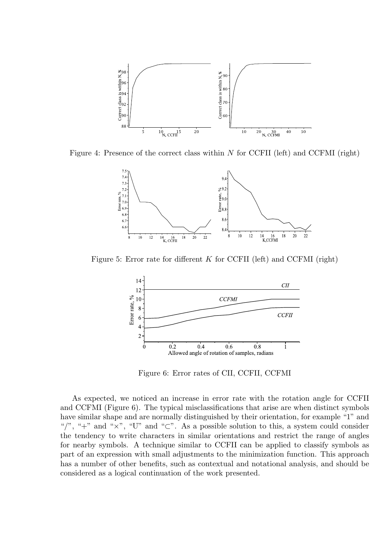

Figure 4: Presence of the correct class within N for CCFII (left) and CCFMI (right)



Figure 5: Error rate for different  $K$  for CCFII (left) and CCFMI (right)



Figure 6: Error rates of CII, CCFII, CCFMI

As expected, we noticed an increase in error rate with the rotation angle for CCFII and CCFMI (Figure 6). The typical misclassifications that arise are when distinct symbols have similar shape and are normally distinguished by their orientation, for example "1" and "/", "+" and " $\times$ ", "U" and " $\subset$ ". As a possible solution to this, a system could consider the tendency to write characters in similar orientations and restrict the range of angles for nearby symbols. A technique similar to CCFII can be applied to classify symbols as part of an expression with small adjustments to the minimization function. This approach has a number of other benefits, such as contextual and notational analysis, and should be considered as a logical continuation of the work presented.